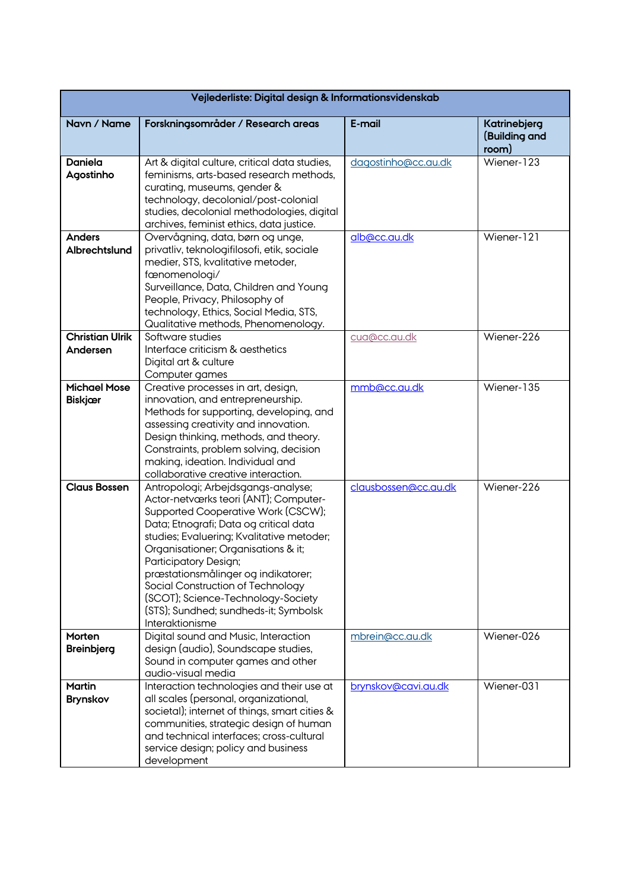| Vejlederliste: Digital design & Informationsvidenskab |                                                                                                                                                                                                                                                                                                                                                                                                                                                        |                      |                                        |  |
|-------------------------------------------------------|--------------------------------------------------------------------------------------------------------------------------------------------------------------------------------------------------------------------------------------------------------------------------------------------------------------------------------------------------------------------------------------------------------------------------------------------------------|----------------------|----------------------------------------|--|
| Navn / Name                                           | Forskningsområder / Research areas                                                                                                                                                                                                                                                                                                                                                                                                                     | E-mail               | Katrinebjerg<br>(Building and<br>room) |  |
| <b>Daniela</b><br>Agostinho                           | Art & digital culture, critical data studies,<br>feminisms, arts-based research methods,<br>curating, museums, gender &<br>technology, decolonial/post-colonial<br>studies, decolonial methodologies, digital<br>archives, feminist ethics, data justice.                                                                                                                                                                                              | dagostinho@cc.au.dk  | Wiener-123                             |  |
| <b>Anders</b><br>Albrechtslund                        | Overvågning, data, børn og unge,<br>privatliv, teknologifilosofi, etik, sociale<br>medier, STS, kvalitative metoder,<br>fænomenologi/<br>Surveillance, Data, Children and Young<br>People, Privacy, Philosophy of<br>technology, Ethics, Social Media, STS,<br>Qualitative methods, Phenomenology.                                                                                                                                                     | alb@cc.au.dk         | Wiener-121                             |  |
| <b>Christian Ulrik</b><br>Andersen                    | Software studies<br>Interface criticism & aesthetics<br>Digital art & culture<br>Computer games                                                                                                                                                                                                                                                                                                                                                        | cua@cc.au.dk         | Wiener-226                             |  |
| <b>Michael Mose</b><br><b>Biskjær</b>                 | Creative processes in art, design,<br>innovation, and entrepreneurship.<br>Methods for supporting, developing, and<br>assessing creativity and innovation.<br>Design thinking, methods, and theory.<br>Constraints, problem solving, decision<br>making, ideation. Individual and<br>collaborative creative interaction.                                                                                                                               | mmb@cc.au.dk         | Wiener-135                             |  |
| <b>Claus Bossen</b>                                   | Antropologi; Arbejdsgangs-analyse;<br>Actor-netværks teori (ANT); Computer-<br>Supported Cooperative Work (CSCW);<br>Data; Etnografi; Data og critical data<br>studies; Evaluering; Kvalitative metoder;<br>Organisationer; Organisations & it;<br>Participatory Design;<br>præstationsmålinger og indikatorer;<br>Social Construction of Technology<br>(SCOT); Science-Technology-Society<br>(STS); Sundhed; sundheds-it; Symbolsk<br>Interaktionisme | clausbossen@cc.au.dk | Wiener-226                             |  |
| Morten<br><b>Breinbjerg</b>                           | Digital sound and Music, Interaction<br>design (audio), Soundscape studies,<br>Sound in computer games and other<br>audio-visual media                                                                                                                                                                                                                                                                                                                 | mbrein@cc.au.dk      | Wiener-026                             |  |
| <b>Martin</b><br><b>Brynskov</b>                      | Interaction technologies and their use at<br>all scales (personal, organizational,<br>societal); internet of things, smart cities &<br>communities, strategic design of human<br>and technical interfaces; cross-cultural<br>service design; policy and business<br>development                                                                                                                                                                        | brynskov@cavi.au.dk  | Wiener-031                             |  |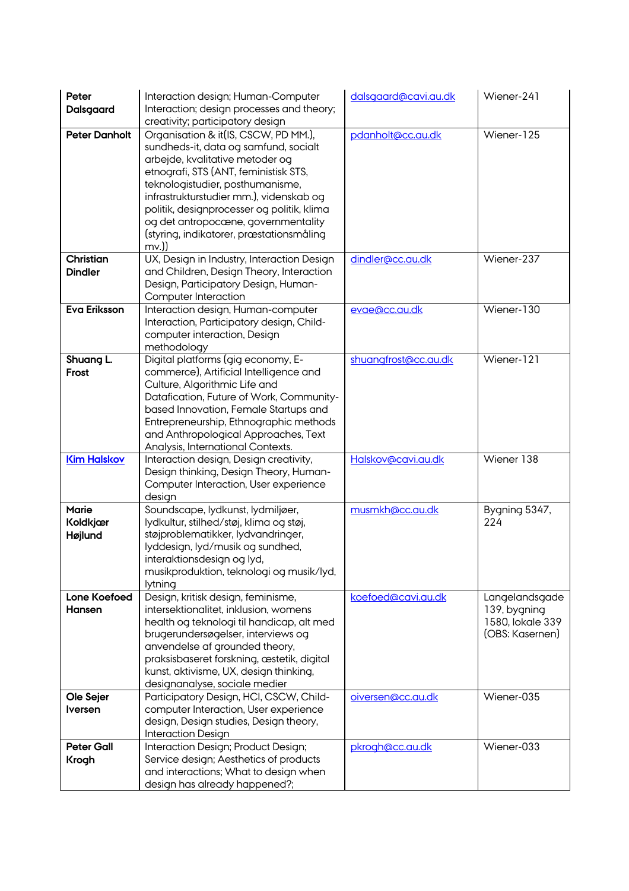| Peter<br>Dalsgaard                  | Interaction design; Human-Computer<br>Interaction; design processes and theory;                                                                                                                                                                                                                                                                                                      | dalsgaard@cavi.au.dk | Wiener-241                                                            |
|-------------------------------------|--------------------------------------------------------------------------------------------------------------------------------------------------------------------------------------------------------------------------------------------------------------------------------------------------------------------------------------------------------------------------------------|----------------------|-----------------------------------------------------------------------|
|                                     | creativity; participatory design                                                                                                                                                                                                                                                                                                                                                     |                      |                                                                       |
| <b>Peter Danholt</b>                | Organisation & it(IS, CSCW, PD MM.),<br>sundheds-it, data og samfund, socialt<br>arbejde, kvalitative metoder og<br>etnografi, STS (ANT, feministisk STS,<br>teknologistudier, posthumanisme,<br>infrastrukturstudier mm.), videnskab og<br>politik, designprocesser og politik, klima<br>og det antropocœne, governmentality<br>(styring, indikatorer, præstationsmåling<br>$mv.$ ) | pdanholt@cc.au.dk    | Wiener-125                                                            |
| Christian<br><b>Dindler</b>         | UX, Design in Industry, Interaction Design<br>and Children, Design Theory, Interaction<br>Design, Participatory Design, Human-<br>Computer Interaction                                                                                                                                                                                                                               | dindler@cc.au.dk     | Wiener-237                                                            |
| <b>Eva Eriksson</b>                 | Interaction design, Human-computer<br>Interaction, Participatory design, Child-<br>computer interaction, Design<br>methodology                                                                                                                                                                                                                                                       | evae@cc.au.dk        | Wiener-130                                                            |
| Shuang L.<br>Frost                  | Digital platforms (gig economy, E-<br>commerce), Artificial Intelligence and<br>Culture, Algorithmic Life and<br>Datafication, Future of Work, Community-<br>based Innovation, Female Startups and<br>Entrepreneurship, Ethnographic methods<br>and Anthropological Approaches, Text<br>Analysis, International Contexts.                                                            | shuangfrost@cc.au.dk | Wiener-121                                                            |
| <b>Kim Halskov</b>                  | Interaction design, Design creativity,<br>Design thinking, Design Theory, Human-<br>Computer Interaction, User experience<br>design                                                                                                                                                                                                                                                  | Halskov@cavi.au.dk   | Wiener 138                                                            |
| <b>Marie</b><br>Koldkjær<br>Højlund | Soundscape, lydkunst, lydmiljøer,<br>lydkultur, stilhed/støj, klima og støj,<br>støjproblematikker, lydvandringer,<br>lyddesign, lyd/musik og sundhed,<br>interaktionsdesign og lyd,<br>musikproduktion, teknologi og musik/lyd,<br>lytning                                                                                                                                          | musmkh@cc.au.dk      | Bygning 5347,<br>224                                                  |
| Lone Koefoed<br><b>Hansen</b>       | Design, kritisk design, feminisme,<br>intersektionalitet, inklusion, womens<br>health og teknologi til handicap, alt med<br>brugerundersøgelser, interviews og<br>anvendelse af grounded theory,<br>praksisbaseret forskning, æstetik, digital<br>kunst, aktivisme, UX, design thinking,<br>designanalyse, sociale medier                                                            | koefoed@cavi.au.dk   | Langelandsgade<br>139, bygning<br>1580, lokale 339<br>(OBS: Kasernen) |
| Ole Sejer<br><b>Iversen</b>         | Participatory Design, HCI, CSCW, Child-<br>computer Interaction, User experience<br>design, Design studies, Design theory,<br><b>Interaction Design</b>                                                                                                                                                                                                                              | oiversen@cc.qu.dk    | Wiener-035                                                            |
| <b>Peter Gall</b><br>Krogh          | Interaction Design; Product Design;<br>Service design; Aesthetics of products<br>and interactions; What to design when<br>design has already happened?;                                                                                                                                                                                                                              | pkrogh@cc.au.dk      | Wiener-033                                                            |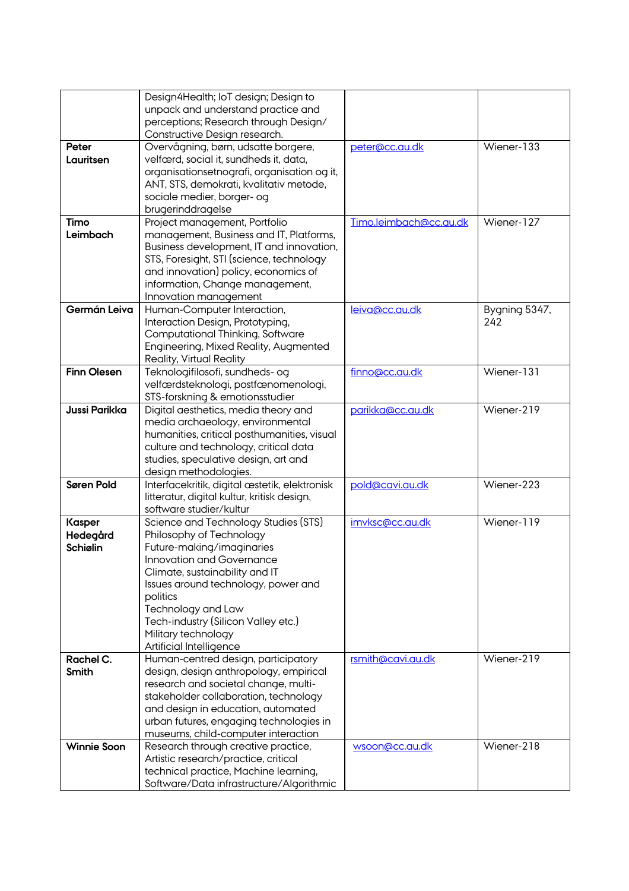|                      | Design4Health; IoT design; Design to<br>unpack and understand practice and<br>perceptions; Research through Design/<br>Constructive Design research. |                        |                          |
|----------------------|------------------------------------------------------------------------------------------------------------------------------------------------------|------------------------|--------------------------|
|                      |                                                                                                                                                      |                        |                          |
| Peter                | Overvågning, børn, udsatte borgere,                                                                                                                  | peter@cc.au.dk         | Wiener-133               |
| Lauritsen            | velfærd, social it, sundheds it, data,                                                                                                               |                        |                          |
|                      | organisationsetnografi, organisation og it,                                                                                                          |                        |                          |
|                      | ANT, STS, demokrati, kvalitativ metode,                                                                                                              |                        |                          |
|                      | sociale medier, borger- og                                                                                                                           |                        |                          |
|                      | brugerinddragelse                                                                                                                                    |                        |                          |
| Timo                 | Project management, Portfolio                                                                                                                        | Timo.leimbach@cc.au.dk | Wiener-127               |
|                      |                                                                                                                                                      |                        |                          |
| Leimbach             | management, Business and IT, Platforms,                                                                                                              |                        |                          |
|                      | Business development, IT and innovation,                                                                                                             |                        |                          |
|                      | STS, Foresight, STI (science, technology                                                                                                             |                        |                          |
|                      | and innovation) policy, economics of                                                                                                                 |                        |                          |
|                      | information, Change management,                                                                                                                      |                        |                          |
|                      | Innovation management                                                                                                                                |                        |                          |
| Germán Leiva         | Human-Computer Interaction,                                                                                                                          | leiva@cc.au.dk         | Bygning 5347,            |
|                      | Interaction Design, Prototyping,                                                                                                                     |                        | 242                      |
|                      | Computational Thinking, Software                                                                                                                     |                        |                          |
|                      |                                                                                                                                                      |                        |                          |
|                      | Engineering, Mixed Reality, Augmented                                                                                                                |                        |                          |
|                      | <b>Reality, Virtual Reality</b>                                                                                                                      |                        |                          |
| <b>Finn Olesen</b>   | Teknologifilosofi, sundheds- og                                                                                                                      | finno@cc.au.dk         | Wiener-131               |
|                      | velfærdsteknologi, postfænomenologi,                                                                                                                 |                        |                          |
|                      | STS-forskning & emotionsstudier                                                                                                                      |                        |                          |
| <b>Jussi Parikka</b> | Digital aesthetics, media theory and                                                                                                                 | parikka@cc.au.dk       | Wiener-219               |
|                      | media archaeology, environmental                                                                                                                     |                        |                          |
|                      | humanities, critical posthumanities, visual                                                                                                          |                        |                          |
|                      | culture and technology, critical data                                                                                                                |                        |                          |
|                      | studies, speculative design, art and                                                                                                                 |                        |                          |
|                      |                                                                                                                                                      |                        |                          |
|                      | design methodologies.                                                                                                                                |                        |                          |
| Søren Pold           | Interfacekritik, digital æstetik, elektronisk                                                                                                        | pold@cavi.au.dk        | Wiener- $2\overline{2}3$ |
|                      | litteratur, digital kultur, kritisk design,                                                                                                          |                        |                          |
|                      | software studier/kultur                                                                                                                              |                        |                          |
| <b>Kasper</b>        | Science and Technology Studies (STS)                                                                                                                 | imvksc@cc.au.dk        | Wiener-119               |
| Hedegård             | Philosophy of Technology                                                                                                                             |                        |                          |
| <b>Schiølin</b>      | Future-making/imaginaries                                                                                                                            |                        |                          |
|                      | Innovation and Governance                                                                                                                            |                        |                          |
|                      | Climate, sustainability and IT                                                                                                                       |                        |                          |
|                      | Issues around technology, power and                                                                                                                  |                        |                          |
|                      | politics                                                                                                                                             |                        |                          |
|                      | Technology and Law                                                                                                                                   |                        |                          |
|                      |                                                                                                                                                      |                        |                          |
|                      | Tech-industry (Silicon Valley etc.)                                                                                                                  |                        |                          |
|                      | Military technology                                                                                                                                  |                        |                          |
|                      | Artificial Intelligence                                                                                                                              |                        |                          |
| Rachel C.            | Human-centred design, participatory                                                                                                                  | rsmith@cavi.au.dk      | Wiener-219               |
| Smith                | design, design anthropology, empirical                                                                                                               |                        |                          |
|                      | research and societal change, multi-                                                                                                                 |                        |                          |
|                      | stakeholder collaboration, technology                                                                                                                |                        |                          |
|                      | and design in education, automated                                                                                                                   |                        |                          |
|                      | urban futures, engaging technologies in                                                                                                              |                        |                          |
|                      | museums, child-computer interaction                                                                                                                  |                        |                          |
| <b>Winnie Soon</b>   | Research through creative practice,                                                                                                                  | wsoon@cc.au.dk         | Wiener-218               |
|                      |                                                                                                                                                      |                        |                          |
|                      | Artistic research/practice, critical                                                                                                                 |                        |                          |
|                      | technical practice, Machine learning,                                                                                                                |                        |                          |
|                      | Software/Data infrastructure/Algorithmic                                                                                                             |                        |                          |